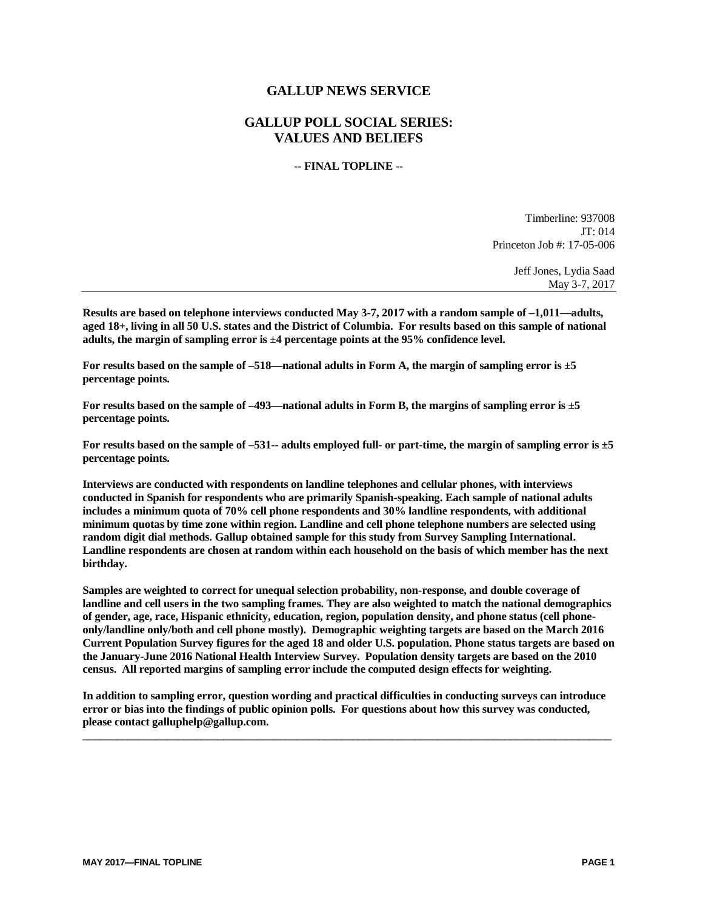## **GALLUP NEWS SERVICE**

## **GALLUP POLL SOCIAL SERIES: VALUES AND BELIEFS**

#### **-- FINAL TOPLINE --**

Timberline: 937008 JT: 014 Princeton Job #: 17-05-006

> Jeff Jones, Lydia Saad May 3-7, 2017

**Results are based on telephone interviews conducted May 3-7, 2017 with a random sample of –1,011—adults, aged 18+, living in all 50 U.S. states and the District of Columbia. For results based on this sample of national adults, the margin of sampling error is ±4 percentage points at the 95% confidence level.** 

**For results based on the sample of –518—national adults in Form A, the margin of sampling error is ±5 percentage points.**

**For results based on the sample of –493—national adults in Form B, the margins of sampling error is ±5 percentage points.**

**For results based on the sample of –531-- adults employed full- or part-time, the margin of sampling error is ±5 percentage points.**

**Interviews are conducted with respondents on landline telephones and cellular phones, with interviews conducted in Spanish for respondents who are primarily Spanish-speaking. Each sample of national adults includes a minimum quota of 70% cell phone respondents and 30% landline respondents, with additional minimum quotas by time zone within region. Landline and cell phone telephone numbers are selected using random digit dial methods. Gallup obtained sample for this study from Survey Sampling International. Landline respondents are chosen at random within each household on the basis of which member has the next birthday.**

**Samples are weighted to correct for unequal selection probability, non-response, and double coverage of landline and cell users in the two sampling frames. They are also weighted to match the national demographics of gender, age, race, Hispanic ethnicity, education, region, population density, and phone status (cell phoneonly/landline only/both and cell phone mostly). Demographic weighting targets are based on the March 2016 Current Population Survey figures for the aged 18 and older U.S. population. Phone status targets are based on the January-June 2016 National Health Interview Survey. Population density targets are based on the 2010 census. All reported margins of sampling error include the computed design effects for weighting.** 

**In addition to sampling error, question wording and practical difficulties in conducting surveys can introduce error or bias into the findings of public opinion polls. For questions about how this survey was conducted, please contact galluphelp@gallup.com.**

 $\_$  ,  $\_$  ,  $\_$  ,  $\_$  ,  $\_$  ,  $\_$  ,  $\_$  ,  $\_$  ,  $\_$  ,  $\_$  ,  $\_$  ,  $\_$  ,  $\_$  ,  $\_$  ,  $\_$  ,  $\_$  ,  $\_$  ,  $\_$  ,  $\_$  ,  $\_$  ,  $\_$  ,  $\_$  ,  $\_$  ,  $\_$  ,  $\_$  ,  $\_$  ,  $\_$  ,  $\_$  ,  $\_$  ,  $\_$  ,  $\_$  ,  $\_$  ,  $\_$  ,  $\_$  ,  $\_$  ,  $\_$  ,  $\_$  ,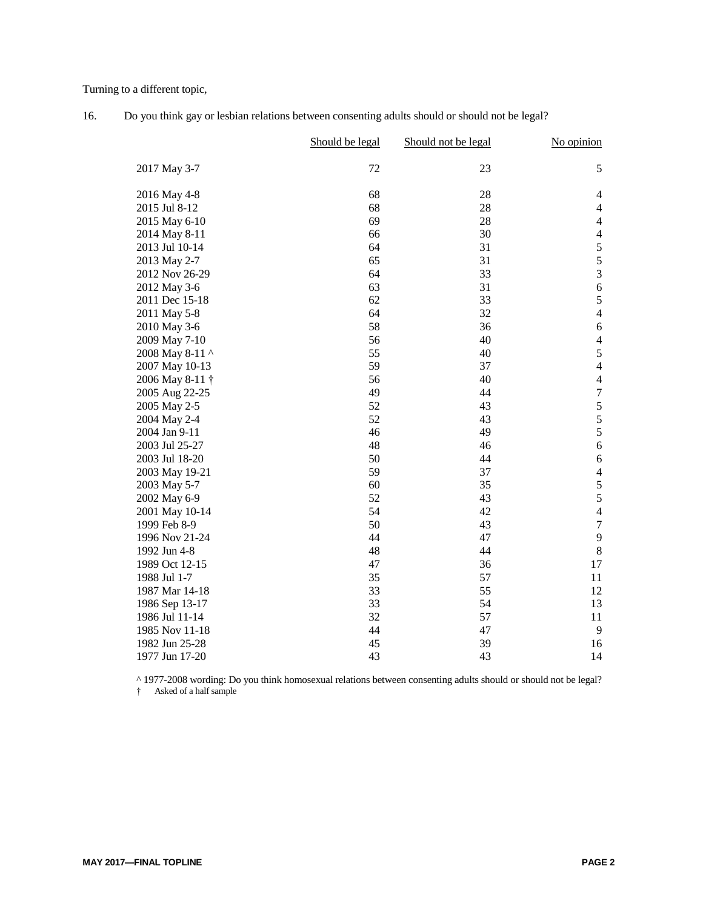Turning to a different topic,

|                 | Should be legal | Should not be legal | No opinion              |
|-----------------|-----------------|---------------------|-------------------------|
| 2017 May 3-7    | 72              | 23                  | 5                       |
| 2016 May 4-8    | 68              | 28                  | 4                       |
| 2015 Jul 8-12   | 68              | 28                  | 4                       |
| 2015 May 6-10   | 69              | 28                  | $\overline{4}$          |
| 2014 May 8-11   | 66              | 30                  | $\overline{4}$          |
| 2013 Jul 10-14  | 64              | 31                  | 5                       |
| 2013 May 2-7    | 65              | 31                  | 5                       |
| 2012 Nov 26-29  | 64              | 33                  | $\overline{3}$          |
| 2012 May 3-6    | 63              | 31                  | $\sqrt{6}$              |
| 2011 Dec 15-18  | 62              | 33                  | 5                       |
| 2011 May 5-8    | 64              | 32                  | $\overline{4}$          |
| 2010 May 3-6    | 58              | 36                  | $\epsilon$              |
| 2009 May 7-10   | 56              | 40                  | $\overline{\mathbf{4}}$ |
| 2008 May 8-11 ^ | 55              | 40                  | 5                       |
| 2007 May 10-13  | 59              | 37                  | $\overline{4}$          |
| 2006 May 8-11 † | 56              | 40                  | $\overline{4}$          |
| 2005 Aug 22-25  | 49              | 44                  | $\boldsymbol{7}$        |
| 2005 May 2-5    | 52              | 43                  | 5                       |
| 2004 May 2-4    | 52              | 43                  | 5                       |
| 2004 Jan 9-11   | 46              | 49                  | 5                       |
| 2003 Jul 25-27  | 48              | 46                  | $\epsilon$              |
| 2003 Jul 18-20  | 50              | 44                  | $\epsilon$              |
| 2003 May 19-21  | 59              | 37                  | $\overline{4}$          |
| 2003 May 5-7    | 60              | 35                  | 5                       |
| 2002 May 6-9    | 52              | 43                  | 5                       |
| 2001 May 10-14  | 54              | 42                  | $\overline{4}$          |
| 1999 Feb 8-9    | 50              | 43                  | $\boldsymbol{7}$        |
| 1996 Nov 21-24  | 44              | 47                  | 9                       |
| 1992 Jun 4-8    | 48              | 44                  | $8\,$                   |
| 1989 Oct 12-15  | 47              | 36                  | 17                      |
| 1988 Jul 1-7    | 35              | 57                  | 11                      |
| 1987 Mar 14-18  | 33              | 55                  | 12                      |
| 1986 Sep 13-17  | 33              | 54                  | 13                      |
| 1986 Jul 11-14  | 32              | 57                  | 11                      |
| 1985 Nov 11-18  | 44              | 47                  | 9                       |
| 1982 Jun 25-28  | 45              | 39                  | 16                      |
| 1977 Jun 17-20  | 43              | 43                  | 14                      |

| 16. | Do you think gay or lesbian relations between consenting adults should or should not be legal? |  |
|-----|------------------------------------------------------------------------------------------------|--|
|     |                                                                                                |  |

^ 1977-2008 wording: Do you think homosexual relations between consenting adults should or should not be legal?

† Asked of a half sample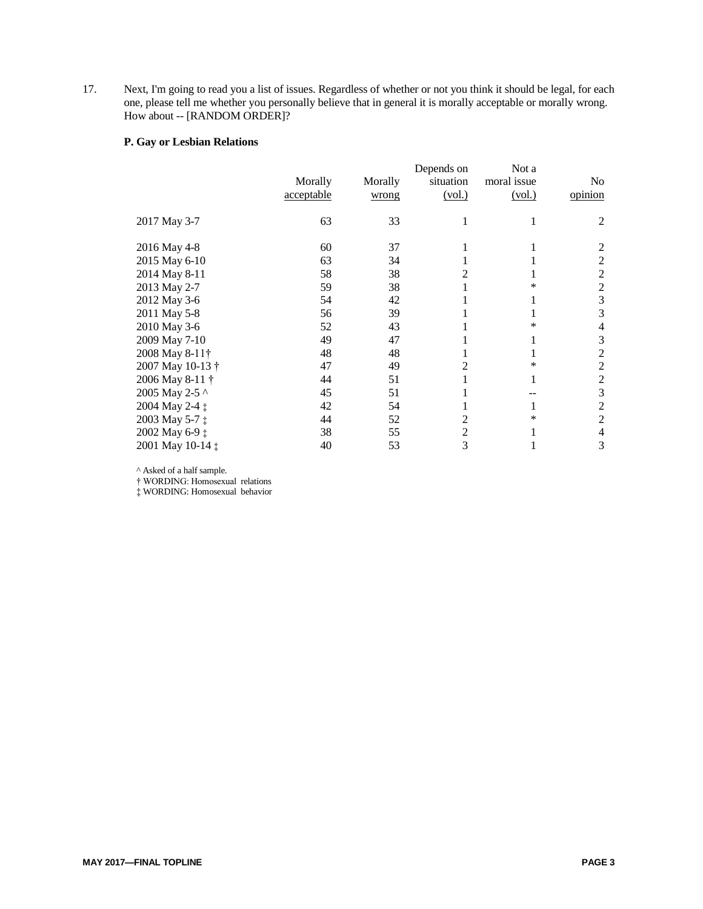17. Next, I'm going to read you a list of issues. Regardless of whether or not you think it should be legal, for each one, please tell me whether you personally believe that in general it is morally acceptable or morally wrong. How about -- [RANDOM ORDER]?

### **P. Gay or Lesbian Relations**

|                  | Morally<br>acceptable | Morally<br>wrong | Depends on<br>situation<br>(vol.) | Not a<br>moral issue<br>(vol.) | No<br>opinion  |
|------------------|-----------------------|------------------|-----------------------------------|--------------------------------|----------------|
| 2017 May 3-7     | 63                    | 33               |                                   |                                | 2              |
| 2016 May 4-8     | 60                    | 37               |                                   |                                | 2              |
| 2015 May 6-10    | 63                    | 34               |                                   |                                | 2              |
| 2014 May 8-11    | 58                    | 38               | 2                                 |                                | $\overline{2}$ |
| 2013 May 2-7     | 59                    | 38               |                                   | *                              | 2              |
| 2012 May 3-6     | 54                    | 42               |                                   |                                | 3              |
| 2011 May 5-8     | 56                    | 39               |                                   |                                | 3              |
| 2010 May 3-6     | 52                    | 43               |                                   | *                              | 4              |
| 2009 May 7-10    | 49                    | 47               |                                   |                                | 3              |
| 2008 May 8-11†   | 48                    | 48               |                                   |                                | $\overline{2}$ |
| 2007 May 10-13 † | 47                    | 49               | 2                                 | ∗                              | 2              |
| 2006 May 8-11 †  | 44                    | 51               |                                   | 1                              | 2              |
| 2005 May 2-5 ^   | 45                    | 51               |                                   |                                | 3              |
| 2004 May 2-4 ‡   | 42                    | 54               |                                   |                                | $\overline{2}$ |
| 2003 May 5-7 ‡   | 44                    | 52               | 2                                 | *                              | $\overline{2}$ |
| 2002 May 6-9 ‡   | 38                    | 55               | $\overline{2}$                    |                                | 4              |
| 2001 May 10-14 ‡ | 40                    | 53               | 3                                 |                                | 3              |

^ Asked of a half sample.

† WORDING: Homosexual relations

‡ WORDING: Homosexual behavior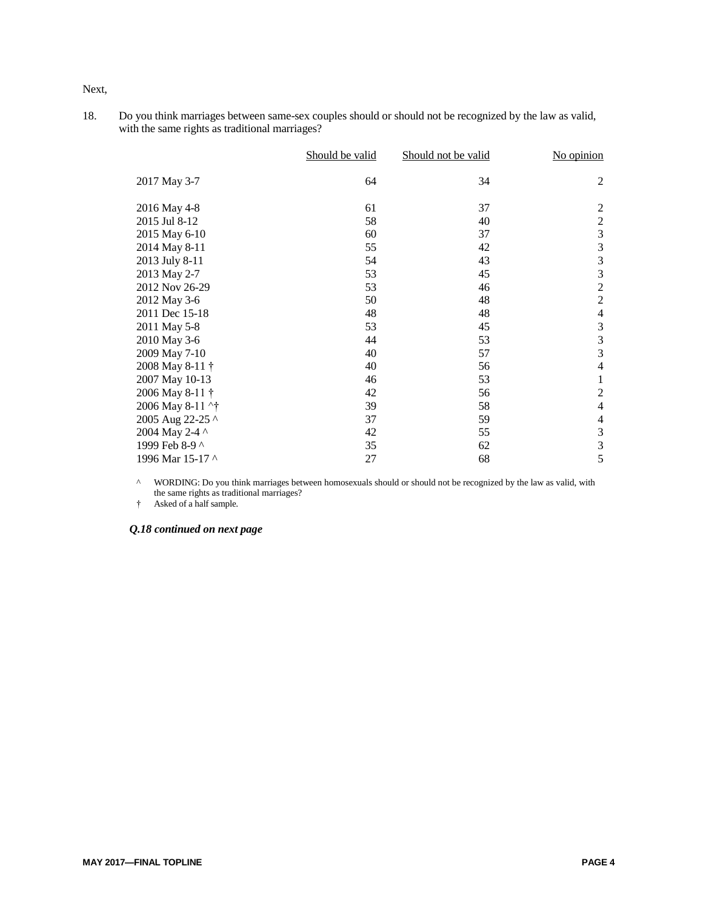Next,

18. Do you think marriages between same-sex couples should or should not be recognized by the law as valid, with the same rights as traditional marriages?

|                  | Should be valid | Should not be valid | No opinion     |
|------------------|-----------------|---------------------|----------------|
| 2017 May 3-7     | 64              | 34                  | $\mathfrak{2}$ |
| 2016 May 4-8     | 61              | 37                  | $\sqrt{2}$     |
| 2015 Jul 8-12    | 58              | 40                  | $\overline{c}$ |
| 2015 May 6-10    | 60              | 37                  | 3              |
| 2014 May 8-11    | 55              | 42                  | $\mathfrak{Z}$ |
| 2013 July 8-11   | 54              | 43                  | $\mathfrak{Z}$ |
| 2013 May 2-7     | 53              | 45                  | $\mathfrak{Z}$ |
| 2012 Nov 26-29   | 53              | 46                  | $\overline{2}$ |
| 2012 May 3-6     | 50              | 48                  | $\sqrt{2}$     |
| 2011 Dec 15-18   | 48              | 48                  | $\overline{4}$ |
| 2011 May 5-8     | 53              | 45                  | 3              |
| 2010 May 3-6     | 44              | 53                  | 3              |
| 2009 May 7-10    | 40              | 57                  | 3              |
| 2008 May 8-11 †  | 40              | 56                  | $\overline{4}$ |
| 2007 May 10-13   | 46              | 53                  | 1              |
| 2006 May 8-11 †  | 42              | 56                  | $\sqrt{2}$     |
| 2006 May 8-11 ^† | 39              | 58                  | $\overline{4}$ |
| 2005 Aug 22-25 ^ | 37              | 59                  | $\overline{4}$ |
| 2004 May 2-4 ^   | 42              | 55                  | 3              |
| 1999 Feb 8-9 ^   | 35              | 62                  | 3              |
| 1996 Mar 15-17 ^ | 27              | 68                  | 5              |

<sup>^</sup> WORDING: Do you think marriages between homosexuals should or should not be recognized by the law as valid, with the same rights as traditional marriages?

† Asked of a half sample.

*Q.18 continued on next page*